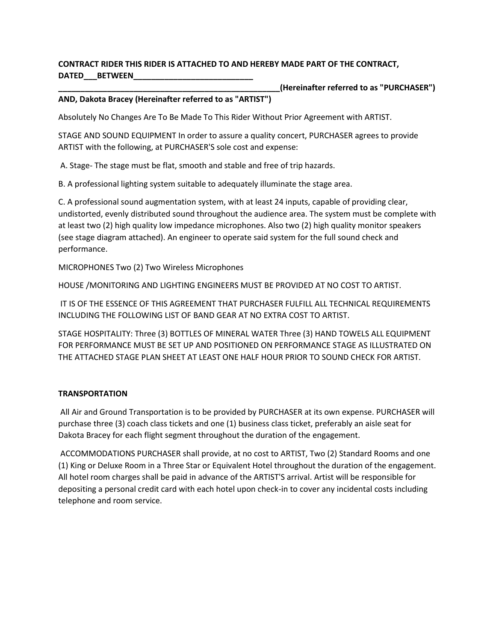# **CONTRACT RIDER THIS RIDER IS ATTACHED TO AND HEREBY MADE PART OF THE CONTRACT,** DATED\_\_\_\_BETWEEN\_\_

**\_\_\_\_\_\_\_\_\_\_\_\_\_\_\_\_\_\_\_\_\_\_\_\_\_\_\_\_\_\_\_\_\_\_\_\_\_\_\_\_\_\_\_\_\_\_\_\_\_\_(Hereinafter referred to as "PURCHASER")** 

## **AND, Dakota Bracey (Hereinafter referred to as "ARTIST")**

Absolutely No Changes Are To Be Made To This Rider Without Prior Agreement with ARTIST.

STAGE AND SOUND EQUIPMENT In order to assure a quality concert, PURCHASER agrees to provide ARTIST with the following, at PURCHASER'S sole cost and expense:

A. Stage- The stage must be flat, smooth and stable and free of trip hazards.

B. A professional lighting system suitable to adequately illuminate the stage area.

C. A professional sound augmentation system, with at least 24 inputs, capable of providing clear, undistorted, evenly distributed sound throughout the audience area. The system must be complete with at least two (2) high quality low impedance microphones. Also two (2) high quality monitor speakers (see stage diagram attached). An engineer to operate said system for the full sound check and performance.

MICROPHONES Two (2) Two Wireless Microphones

HOUSE /MONITORING AND LIGHTING ENGINEERS MUST BE PROVIDED AT NO COST TO ARTIST.

IT IS OF THE ESSENCE OF THIS AGREEMENT THAT PURCHASER FULFILL ALL TECHNICAL REQUIREMENTS INCLUDING THE FOLLOWING LIST OF BAND GEAR AT NO EXTRA COST TO ARTIST.

STAGE HOSPITALITY: Three (3) BOTTLES OF MINERAL WATER Three (3) HAND TOWELS ALL EQUIPMENT FOR PERFORMANCE MUST BE SET UP AND POSITIONED ON PERFORMANCE STAGE AS ILLUSTRATED ON THE ATTACHED STAGE PLAN SHEET AT LEAST ONE HALF HOUR PRIOR TO SOUND CHECK FOR ARTIST.

### **TRANSPORTATION**

All Air and Ground Transportation is to be provided by PURCHASER at its own expense. PURCHASER will purchase three (3) coach class tickets and one (1) business class ticket, preferably an aisle seat for Dakota Bracey for each flight segment throughout the duration of the engagement.

ACCOMMODATIONS PURCHASER shall provide, at no cost to ARTIST, Two (2) Standard Rooms and one (1) King or Deluxe Room in a Three Star or Equivalent Hotel throughout the duration of the engagement. All hotel room charges shall be paid in advance of the ARTIST'S arrival. Artist will be responsible for depositing a personal credit card with each hotel upon check-in to cover any incidental costs including telephone and room service.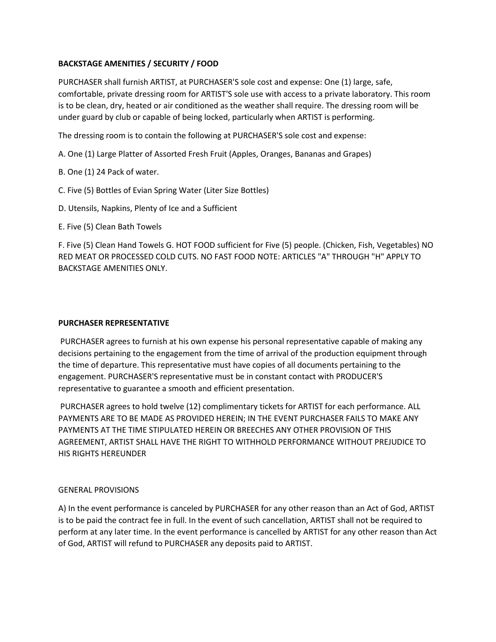## **BACKSTAGE AMENITIES / SECURITY / FOOD**

PURCHASER shall furnish ARTIST, at PURCHASER'S sole cost and expense: One (1) large, safe, comfortable, private dressing room for ARTIST'S sole use with access to a private laboratory. This room is to be clean, dry, heated or air conditioned as the weather shall require. The dressing room will be under guard by club or capable of being locked, particularly when ARTIST is performing.

The dressing room is to contain the following at PURCHASER'S sole cost and expense:

- A. One (1) Large Platter of Assorted Fresh Fruit (Apples, Oranges, Bananas and Grapes)
- B. One (1) 24 Pack of water.
- C. Five (5) Bottles of Evian Spring Water (Liter Size Bottles)
- D. Utensils, Napkins, Plenty of Ice and a Sufficient
- E. Five (5) Clean Bath Towels

F. Five (5) Clean Hand Towels G. HOT FOOD sufficient for Five (5) people. (Chicken, Fish, Vegetables) NO RED MEAT OR PROCESSED COLD CUTS. NO FAST FOOD NOTE: ARTICLES "A" THROUGH "H" APPLY TO BACKSTAGE AMENITIES ONLY.

### **PURCHASER REPRESENTATIVE**

PURCHASER agrees to furnish at his own expense his personal representative capable of making any decisions pertaining to the engagement from the time of arrival of the production equipment through the time of departure. This representative must have copies of all documents pertaining to the engagement. PURCHASER'S representative must be in constant contact with PRODUCER'S representative to guarantee a smooth and efficient presentation.

PURCHASER agrees to hold twelve (12) complimentary tickets for ARTIST for each performance. ALL PAYMENTS ARE TO BE MADE AS PROVIDED HEREIN; IN THE EVENT PURCHASER FAILS TO MAKE ANY PAYMENTS AT THE TIME STIPULATED HEREIN OR BREECHES ANY OTHER PROVISION OF THIS AGREEMENT, ARTIST SHALL HAVE THE RIGHT TO WITHHOLD PERFORMANCE WITHOUT PREJUDICE TO HIS RIGHTS HEREUNDER

### GENERAL PROVISIONS

A) In the event performance is canceled by PURCHASER for any other reason than an Act of God, ARTIST is to be paid the contract fee in full. In the event of such cancellation, ARTIST shall not be required to perform at any later time. In the event performance is cancelled by ARTIST for any other reason than Act of God, ARTIST will refund to PURCHASER any deposits paid to ARTIST.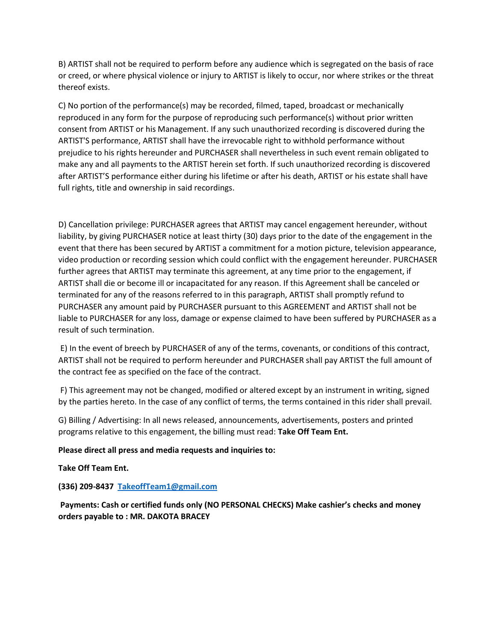B) ARTIST shall not be required to perform before any audience which is segregated on the basis of race or creed, or where physical violence or injury to ARTIST is likely to occur, nor where strikes or the threat thereof exists.

C) No portion of the performance(s) may be recorded, filmed, taped, broadcast or mechanically reproduced in any form for the purpose of reproducing such performance(s) without prior written consent from ARTIST or his Management. If any such unauthorized recording is discovered during the ARTIST'S performance, ARTIST shall have the irrevocable right to withhold performance without prejudice to his rights hereunder and PURCHASER shall nevertheless in such event remain obligated to make any and all payments to the ARTIST herein set forth. If such unauthorized recording is discovered after ARTIST'S performance either during his lifetime or after his death, ARTIST or his estate shall have full rights, title and ownership in said recordings.

D) Cancellation privilege: PURCHASER agrees that ARTIST may cancel engagement hereunder, without liability, by giving PURCHASER notice at least thirty (30) days prior to the date of the engagement in the event that there has been secured by ARTIST a commitment for a motion picture, television appearance, video production or recording session which could conflict with the engagement hereunder. PURCHASER further agrees that ARTIST may terminate this agreement, at any time prior to the engagement, if ARTIST shall die or become ill or incapacitated for any reason. If this Agreement shall be canceled or terminated for any of the reasons referred to in this paragraph, ARTIST shall promptly refund to PURCHASER any amount paid by PURCHASER pursuant to this AGREEMENT and ARTIST shall not be liable to PURCHASER for any loss, damage or expense claimed to have been suffered by PURCHASER as a result of such termination.

E) In the event of breech by PURCHASER of any of the terms, covenants, or conditions of this contract, ARTIST shall not be required to perform hereunder and PURCHASER shall pay ARTIST the full amount of the contract fee as specified on the face of the contract.

F) This agreement may not be changed, modified or altered except by an instrument in writing, signed by the parties hereto. In the case of any conflict of terms, the terms contained in this rider shall prevail.

G) Billing / Advertising: In all news released, announcements, advertisements, posters and printed programs relative to this engagement, the billing must read: **Take Off Team Ent.**

**Please direct all press and media requests and inquiries to:** 

**Take Off Team Ent.** 

**(336) 209-8437 [TakeoffTeam1@gmail.com](mailto:TakeoffTeam1@gmail.com)**

**Payments: Cash or certified funds only (NO PERSONAL CHECKS) Make cashier's checks and money orders payable to : MR. DAKOTA BRACEY**